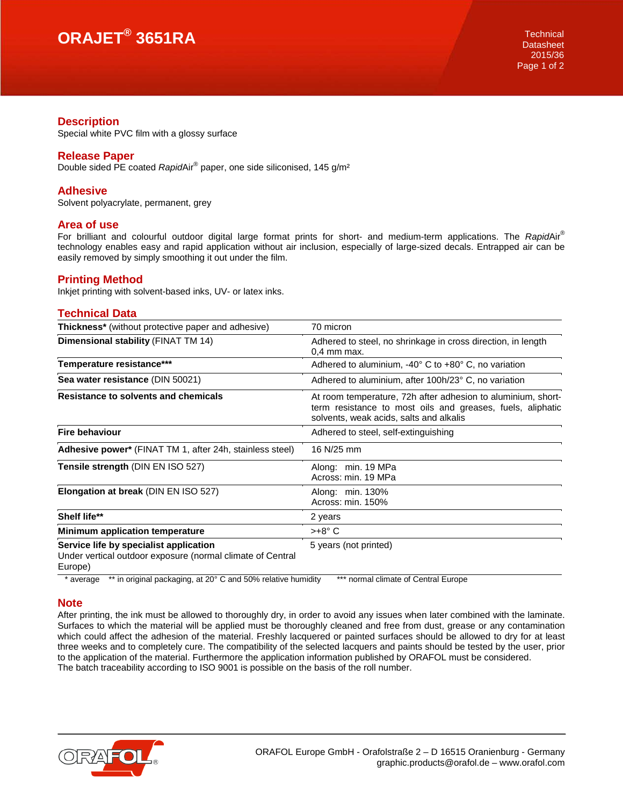# **ORAJET® 3651RA** Technical

#### **Description**

Special white PVC film with a glossy surface

### **Release Paper**

Double sided PE coated *Rapid*Air® paper, one side siliconised, 145 g/m²

### **Adhesive**

Solvent polyacrylate, permanent, grey

### **Area of use**

For brilliant and colourful outdoor digital large format prints for short- and medium-term applications. The *Rapid*Air® technology enables easy and rapid application without air inclusion, especially of large-sized decals. Entrapped air can be easily removed by simply smoothing it out under the film.

## **Printing Method**

Inkjet printing with solvent-based inks, UV- or latex inks.

## **Technical Data**

| <b>Thickness*</b> (without protective paper and adhesive)                                                       | 70 micron                                                                                                                                                             |
|-----------------------------------------------------------------------------------------------------------------|-----------------------------------------------------------------------------------------------------------------------------------------------------------------------|
| Dimensional stability (FINAT TM 14)                                                                             | Adhered to steel, no shrinkage in cross direction, in length<br>$0.4$ mm max.                                                                                         |
| Temperature resistance***                                                                                       | Adhered to aluminium, -40° C to +80° C, no variation                                                                                                                  |
| Sea water resistance (DIN 50021)                                                                                | Adhered to aluminium, after 100h/23° C, no variation                                                                                                                  |
| Resistance to solvents and chemicals                                                                            | At room temperature, 72h after adhesion to aluminium, short-<br>term resistance to most oils and greases, fuels, aliphatic<br>solvents, weak acids, salts and alkalis |
| <b>Fire behaviour</b>                                                                                           | Adhered to steel, self-extinguishing                                                                                                                                  |
| Adhesive power* (FINAT TM 1, after 24h, stainless steel)                                                        | 16 N/25 mm                                                                                                                                                            |
| Tensile strength (DIN EN ISO 527)                                                                               | Along: min. 19 MPa<br>Across: min. 19 MPa                                                                                                                             |
| Elongation at break (DIN EN ISO 527)                                                                            | Along: min. 130%<br>Across: min. 150%                                                                                                                                 |
| Shelf life**                                                                                                    | 2 years                                                                                                                                                               |
| Minimum application temperature                                                                                 | $>+8^{\circ}$ C                                                                                                                                                       |
| Service life by specialist application<br>Under vertical outdoor exposure (normal climate of Central<br>Europe) | 5 years (not printed)                                                                                                                                                 |

\* average \*\* in original packaging, at 20° C and 50% relative humidity \*\*\* normal climate of Central Europe

### **Note**

After printing, the ink must be allowed to thoroughly dry, in order to avoid any issues when later combined with the laminate. Surfaces to which the material will be applied must be thoroughly cleaned and free from dust, grease or any contamination which could affect the adhesion of the material. Freshly lacquered or painted surfaces should be allowed to dry for at least three weeks and to completely cure. The compatibility of the selected lacquers and paints should be tested by the user, prior to the application of the material. Furthermore the application information published by ORAFOL must be considered. The batch traceability according to ISO 9001 is possible on the basis of the roll number.